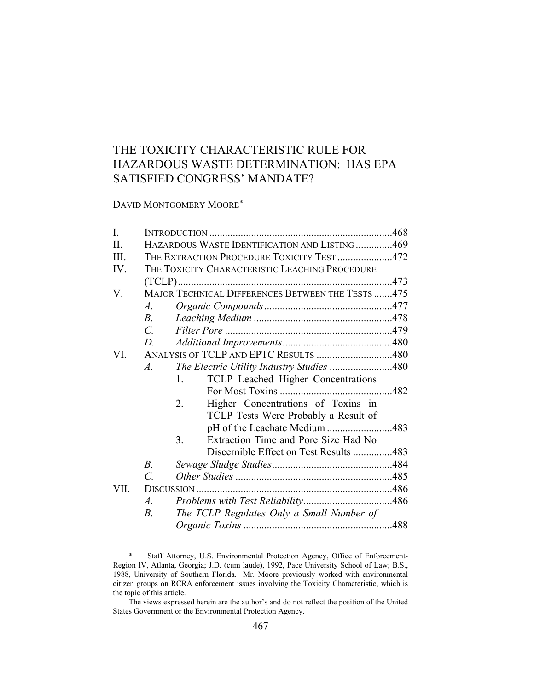# THE TOXICITY CHARACTERISTIC RULE FOR HAZARDOUS WASTE DETERMINATION: HAS EPA SATISFIED CONGRESS' MANDATE?

DAVID MONTGOMERY MOORE\*

| I.      |                 |                                                      |  |
|---------|-----------------|------------------------------------------------------|--|
| $\Pi$ . |                 | HAZARDOUS WASTE IDENTIFICATION AND LISTING 469       |  |
| III.    |                 | THE EXTRACTION PROCEDURE TOXICITY TEST472            |  |
| IV.     |                 | THE TOXICITY CHARACTERISTIC LEACHING PROCEDURE       |  |
|         |                 |                                                      |  |
| V.      |                 | MAJOR TECHNICAL DIFFERENCES BETWEEN THE TESTS 475    |  |
|         | $A_{\cdot}$     |                                                      |  |
|         | $B_{\cdot}$     |                                                      |  |
|         | $\mathcal{C}$ . |                                                      |  |
|         | D.              |                                                      |  |
| VI.     |                 | ANALYSIS OF TCLP AND EPTC RESULTS 480                |  |
|         | $\mathcal{A}$ . | The Electric Utility Industry Studies 480            |  |
|         |                 | TCLP Leached Higher Concentrations<br>$\mathbf{1}$ . |  |
|         |                 |                                                      |  |
|         |                 | 2.<br>Higher Concentrations of Toxins in             |  |
|         |                 | TCLP Tests Were Probably a Result of                 |  |
|         |                 | pH of the Leachate Medium 483                        |  |
|         |                 | Extraction Time and Pore Size Had No<br>3.           |  |
|         |                 | Discernible Effect on Test Results 483               |  |
|         | $B_{\cdot}$     |                                                      |  |
|         | $\mathcal{C}$   |                                                      |  |
| VII.    |                 |                                                      |  |
|         | $\mathcal{A}$ . |                                                      |  |
|         | $B_{\cdot}$     | The TCLP Regulates Only a Small Number of            |  |
|         |                 |                                                      |  |

 <sup>\*</sup> Staff Attorney, U.S. Environmental Protection Agency, Office of Enforcement-Region IV, Atlanta, Georgia; J.D. (cum laude), 1992, Pace University School of Law; B.S., 1988, University of Southern Florida. Mr. Moore previously worked with environmental citizen groups on RCRA enforcement issues involving the Toxicity Characteristic, which is the topic of this article.

The views expressed herein are the author's and do not reflect the position of the United States Government or the Environmental Protection Agency.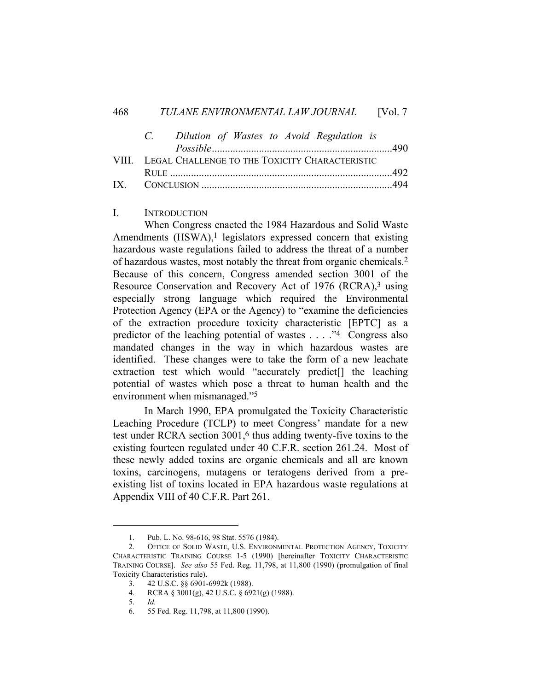| C. Dilution of Wastes to Avoid Regulation is         |  |
|------------------------------------------------------|--|
|                                                      |  |
| VIII. LEGAL CHALLENGE TO THE TOXICITY CHARACTERISTIC |  |
|                                                      |  |
|                                                      |  |

## I. INTRODUCTION

 When Congress enacted the 1984 Hazardous and Solid Waste Amendments  $(HSWA)$ ,<sup>1</sup> legislators expressed concern that existing hazardous waste regulations failed to address the threat of a number of hazardous wastes, most notably the threat from organic chemicals.2 Because of this concern, Congress amended section 3001 of the Resource Conservation and Recovery Act of 1976 (RCRA),<sup>3</sup> using especially strong language which required the Environmental Protection Agency (EPA or the Agency) to "examine the deficiencies of the extraction procedure toxicity characteristic [EPTC] as a predictor of the leaching potential of wastes . . . ."4 Congress also mandated changes in the way in which hazardous wastes are identified. These changes were to take the form of a new leachate extraction test which would "accurately predict[] the leaching potential of wastes which pose a threat to human health and the environment when mismanaged."5

 In March 1990, EPA promulgated the Toxicity Characteristic Leaching Procedure (TCLP) to meet Congress' mandate for a new test under RCRA section 3001,6 thus adding twenty-five toxins to the existing fourteen regulated under 40 C.F.R. section 261.24. Most of these newly added toxins are organic chemicals and all are known toxins, carcinogens, mutagens or teratogens derived from a preexisting list of toxins located in EPA hazardous waste regulations at Appendix VIII of 40 C.F.R. Part 261.

 <sup>1.</sup> Pub. L. No. 98-616, 98 Stat. 5576 (1984).

 <sup>2.</sup> OFFICE OF SOLID WASTE, U.S. ENVIRONMENTAL PROTECTION AGENCY, TOXICITY CHARACTERISTIC TRAINING COURSE 1-5 (1990) [hereinafter TOXICITY CHARACTERISTIC TRAINING COURSE]. *See also* 55 Fed. Reg. 11,798, at 11,800 (1990) (promulgation of final Toxicity Characteristics rule).

 <sup>3. 42</sup> U.S.C. §§ 6901-6992k (1988).

 <sup>4.</sup> RCRA § 3001(g), 42 U.S.C. § 6921(g) (1988).

 <sup>5.</sup> *Id.* 

 <sup>6. 55</sup> Fed. Reg. 11,798, at 11,800 (1990).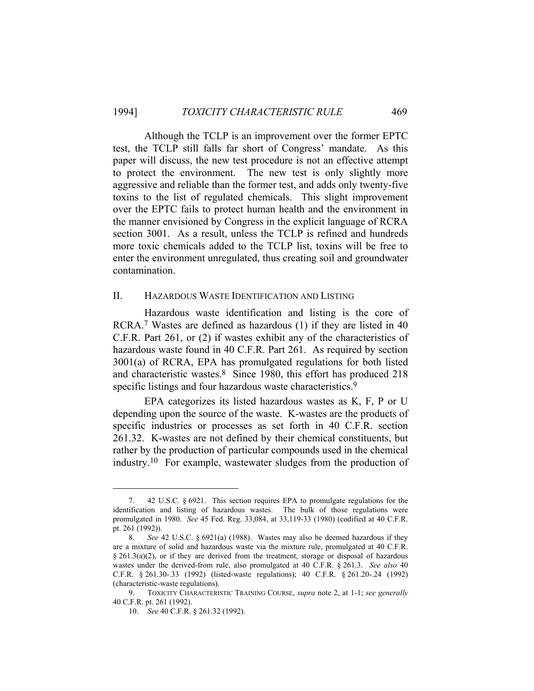Although the TCLP is an improvement over the former EPTC test, the TCLP still falls far short of Congress' mandate. As this paper will discuss, the new test procedure is not an effective attempt to protect the environment. The new test is only slightly more aggressive and reliable than the former test, and adds only twenty-five toxins to the list of regulated chemicals. This slight improvement over the EPTC fails to protect human health and the environment in the manner envisioned by Congress in the explicit language of RCRA section 3001. As a result, unless the TCLP is refined and hundreds more toxic chemicals added to the TCLP list, toxins will be free to enter the environment unregulated, thus creating soil and groundwater contamination.

## II. HAZARDOUS WASTE IDENTIFICATION AND LISTING

 Hazardous waste identification and listing is the core of RCRA.7 Wastes are defined as hazardous (1) if they are listed in 40 C.F.R. Part 261, or (2) if wastes exhibit any of the characteristics of hazardous waste found in 40 C.F.R. Part 261. As required by section 3001(a) of RCRA, EPA has promulgated regulations for both listed and characteristic wastes.8 Since 1980, this effort has produced 218 specific listings and four hazardous waste characteristics.<sup>9</sup>

 EPA categorizes its listed hazardous wastes as K, F, P or U depending upon the source of the waste. K-wastes are the products of specific industries or processes as set forth in 40 C.F.R. section 261.32. K-wastes are not defined by their chemical constituents, but rather by the production of particular compounds used in the chemical industry.10 For example, wastewater sludges from the production of

 <sup>7. 42</sup> U.S.C. § 6921. This section requires EPA to promulgate regulations for the identification and listing of hazardous wastes. The bulk of those regulations were promulgated in 1980. *See* 45 Fed. Reg. 33,084, at 33,119-33 (1980) (codified at 40 C.F.R. pt. 261 (1992)).

 <sup>8.</sup> *See* 42 U.S.C. § 6921(a) (1988). Wastes may also be deemed hazardous if they are a mixture of solid and hazardous waste via the mixture rule, promulgated at 40 C.F.R. § 261.3(a)(2), or if they are derived from the treatment, storage or disposal of hazardous wastes under the derived-from rule, also promulgated at 40 C.F.R. § 261.3. *See also* 40 C.F.R. § 261.30-.33 (1992) (listed-waste regulations); 40 C.F.R. § 261.20-.24 (1992) (characteristic-waste regulations).

 <sup>9.</sup> TOXICITY CHARACTERISTIC TRAINING COURSE, *supra* note 2, at 1-1; *see generally* 40 C.F.R. pt. 261 (1992).

 <sup>10.</sup> *See* 40 C.F.R. § 261.32 (1992).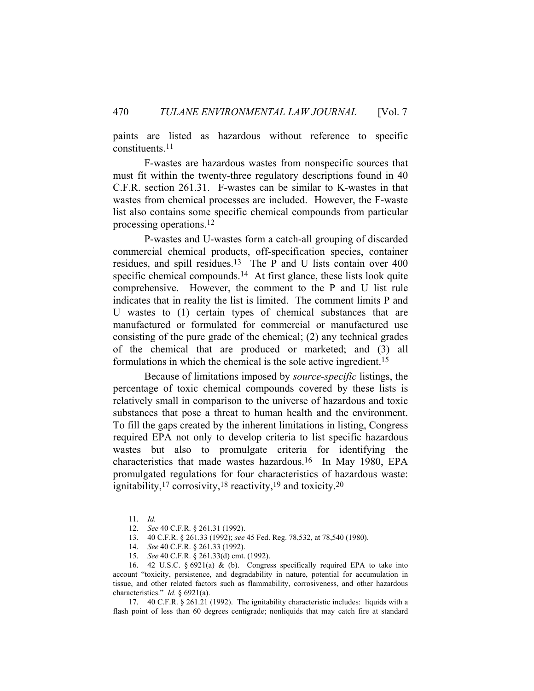paints are listed as hazardous without reference to specific constituents.11

 F-wastes are hazardous wastes from nonspecific sources that must fit within the twenty-three regulatory descriptions found in 40 C.F.R. section 261.31. F-wastes can be similar to K-wastes in that wastes from chemical processes are included. However, the F-waste list also contains some specific chemical compounds from particular processing operations.12

 P-wastes and U-wastes form a catch-all grouping of discarded commercial chemical products, off-specification species, container residues, and spill residues.13 The P and U lists contain over 400 specific chemical compounds.<sup>14</sup> At first glance, these lists look quite comprehensive. However, the comment to the P and U list rule indicates that in reality the list is limited. The comment limits P and U wastes to (1) certain types of chemical substances that are manufactured or formulated for commercial or manufactured use consisting of the pure grade of the chemical; (2) any technical grades of the chemical that are produced or marketed; and (3) all formulations in which the chemical is the sole active ingredient.15

 Because of limitations imposed by *source-specific* listings, the percentage of toxic chemical compounds covered by these lists is relatively small in comparison to the universe of hazardous and toxic substances that pose a threat to human health and the environment. To fill the gaps created by the inherent limitations in listing, Congress required EPA not only to develop criteria to list specific hazardous wastes but also to promulgate criteria for identifying the characteristics that made wastes hazardous.16 In May 1980, EPA promulgated regulations for four characteristics of hazardous waste: ignitability,17 corrosivity,18 reactivity,19 and toxicity.20

 17. 40 C.F.R. § 261.21 (1992). The ignitability characteristic includes: liquids with a flash point of less than 60 degrees centigrade; nonliquids that may catch fire at standard

 <sup>11.</sup> *Id.*

 <sup>12.</sup> *See* 40 C.F.R. § 261.31 (1992).

 <sup>13. 40</sup> C.F.R. § 261.33 (1992); *see* 45 Fed. Reg. 78,532, at 78,540 (1980).

 <sup>14.</sup> *See* 40 C.F.R. § 261.33 (1992).

 <sup>15.</sup> *See* 40 C.F.R. § 261.33(d) cmt. (1992).

 <sup>16. 42</sup> U.S.C. § 6921(a) & (b). Congress specifically required EPA to take into account "toxicity, persistence, and degradability in nature, potential for accumulation in tissue, and other related factors such as flammability, corrosiveness, and other hazardous characteristics." *Id.* § 6921(a).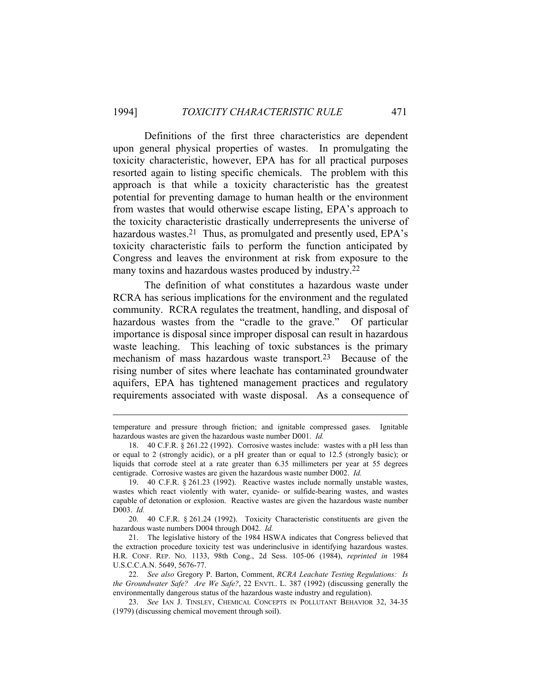Definitions of the first three characteristics are dependent upon general physical properties of wastes. In promulgating the toxicity characteristic, however, EPA has for all practical purposes resorted again to listing specific chemicals. The problem with this approach is that while a toxicity characteristic has the greatest potential for preventing damage to human health or the environment from wastes that would otherwise escape listing, EPA's approach to the toxicity characteristic drastically underrepresents the universe of hazardous wastes.<sup>21</sup> Thus, as promulgated and presently used, EPA's toxicity characteristic fails to perform the function anticipated by Congress and leaves the environment at risk from exposure to the many toxins and hazardous wastes produced by industry.22

 The definition of what constitutes a hazardous waste under RCRA has serious implications for the environment and the regulated community. RCRA regulates the treatment, handling, and disposal of hazardous wastes from the "cradle to the grave." Of particular importance is disposal since improper disposal can result in hazardous waste leaching. This leaching of toxic substances is the primary mechanism of mass hazardous waste transport.<sup>23</sup> Because of the rising number of sites where leachate has contaminated groundwater aquifers, EPA has tightened management practices and regulatory requirements associated with waste disposal. As a consequence of

 20. 40 C.F.R. § 261.24 (1992). Toxicity Characteristic constituents are given the hazardous waste numbers D004 through D042. *Id.* 

 21. The legislative history of the 1984 HSWA indicates that Congress believed that the extraction procedure toxicity test was underinclusive in identifying hazardous wastes. H.R. CONF. REP. NO. 1133, 98th Cong., 2d Sess. 105-06 (1984), *reprinted in* 1984 U.S.C.C.A.N. 5649, 5676-77.

 22. *See also* Gregory P. Barton, Comment, *RCRA Leachate Testing Regulations: Is the Groundwater Safe? Are We Safe?*, 22 ENVTL. L. 387 (1992) (discussing generally the environmentally dangerous status of the hazardous waste industry and regulation).

 23. *See* IAN J. TINSLEY, CHEMICAL CONCEPTS IN POLLUTANT BEHAVIOR 32, 34-35 (1979) (discussing chemical movement through soil).

temperature and pressure through friction; and ignitable compressed gases. Ignitable hazardous wastes are given the hazardous waste number D001. *Id.* 

 <sup>18. 40</sup> C.F.R. § 261.22 (1992). Corrosive wastes include: wastes with a pH less than or equal to 2 (strongly acidic), or a pH greater than or equal to 12.5 (strongly basic); or liquids that corrode steel at a rate greater than 6.35 millimeters per year at 55 degrees centigrade. Corrosive wastes are given the hazardous waste number D002. *Id.* 

 <sup>19. 40</sup> C.F.R. § 261.23 (1992). Reactive wastes include normally unstable wastes, wastes which react violently with water, cyanide- or sulfide-bearing wastes, and wastes capable of detonation or explosion. Reactive wastes are given the hazardous waste number D003. *Id.*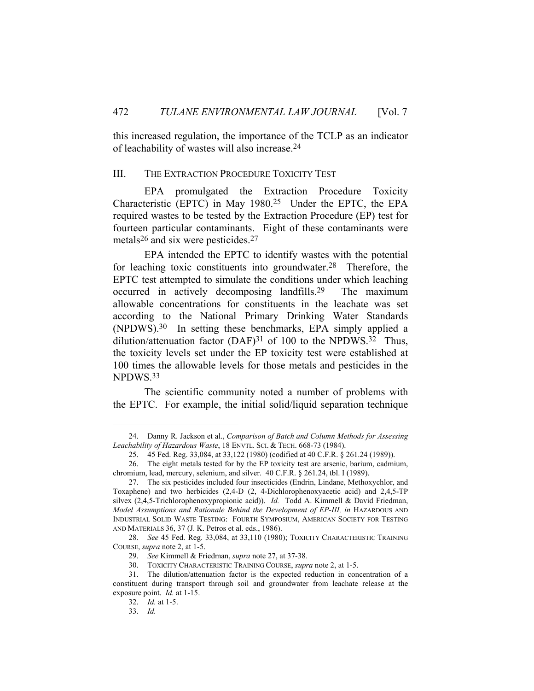this increased regulation, the importance of the TCLP as an indicator of leachability of wastes will also increase.24

#### III. THE EXTRACTION PROCEDURE TOXICITY TEST

 EPA promulgated the Extraction Procedure Toxicity Characteristic (EPTC) in May 1980.25 Under the EPTC, the EPA required wastes to be tested by the Extraction Procedure (EP) test for fourteen particular contaminants. Eight of these contaminants were metals<sup>26</sup> and six were pesticides.<sup>27</sup>

 EPA intended the EPTC to identify wastes with the potential for leaching toxic constituents into groundwater.28 Therefore, the EPTC test attempted to simulate the conditions under which leaching occurred in actively decomposing landfills.29 The maximum allowable concentrations for constituents in the leachate was set according to the National Primary Drinking Water Standards (NPDWS).30 In setting these benchmarks, EPA simply applied a dilution/attenuation factor  $(DAF)^{31}$  of 100 to the NPDWS.<sup>32</sup> Thus, the toxicity levels set under the EP toxicity test were established at 100 times the allowable levels for those metals and pesticides in the NPDWS.33

 The scientific community noted a number of problems with the EPTC. For example, the initial solid/liquid separation technique

30. TOXICITY CHARACTERISTIC TRAINING COURSE, *supra* note 2, at 1-5.

 <sup>24.</sup> Danny R. Jackson et al., *Comparison of Batch and Column Methods for Assessing Leachability of Hazardous Waste*, 18 ENVTL. SCI. & TECH. 668-73 (1984).

 <sup>25. 45</sup> Fed. Reg. 33,084, at 33,122 (1980) (codified at 40 C.F.R. § 261.24 (1989)).

 <sup>26.</sup> The eight metals tested for by the EP toxicity test are arsenic, barium, cadmium, chromium, lead, mercury, selenium, and silver. 40 C.F.R. § 261.24, tbl. I (1989).

 <sup>27.</sup> The six pesticides included four insecticides (Endrin, Lindane, Methoxychlor, and Toxaphene) and two herbicides (2,4-D (2, 4-Dichlorophenoxyacetic acid) and 2,4,5-TP silvex (2,4,5-Trichlorophenoxypropionic acid)). *Id.* Todd A. Kimmell & David Friedman, *Model Assumptions and Rationale Behind the Development of EP-III, in HAZARDOUS AND* INDUSTRIAL SOLID WASTE TESTING: FOURTH SYMPOSIUM, AMERICAN SOCIETY FOR TESTING AND MATERIALS 36, 37 (J. K. Petros et al. eds., 1986).

 <sup>28.</sup> *See* 45 Fed. Reg. 33,084, at 33,110 (1980); TOXICITY CHARACTERISTIC TRAINING COURSE, *supra* note 2, at 1-5.

 <sup>29.</sup> *See* Kimmell & Friedman, *supra* note 27, at 37-38.

 <sup>31.</sup> The dilution/attenuation factor is the expected reduction in concentration of a constituent during transport through soil and groundwater from leachate release at the exposure point. *Id.* at 1-15.

 <sup>32.</sup> *Id.* at 1-5.

 <sup>33.</sup> *Id.*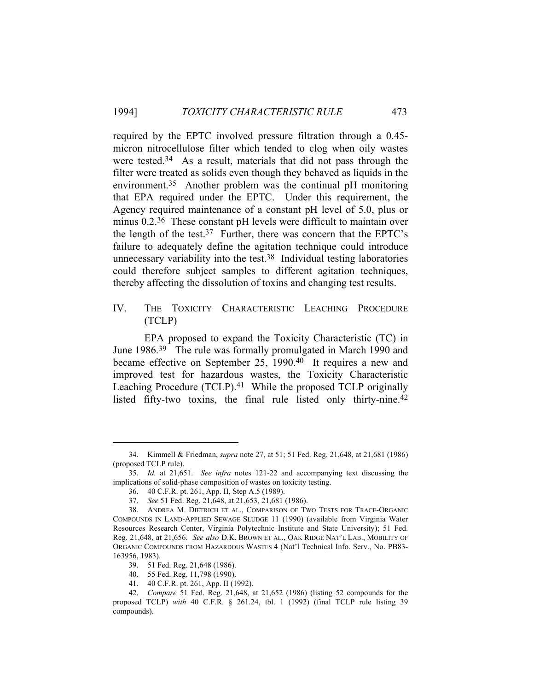required by the EPTC involved pressure filtration through a 0.45 micron nitrocellulose filter which tended to clog when oily wastes were tested.<sup>34</sup> As a result, materials that did not pass through the filter were treated as solids even though they behaved as liquids in the environment.35 Another problem was the continual pH monitoring that EPA required under the EPTC. Under this requirement, the Agency required maintenance of a constant pH level of 5.0, plus or minus 0.2.<sup>36</sup> These constant pH levels were difficult to maintain over the length of the test.<sup>37</sup> Further, there was concern that the EPTC's failure to adequately define the agitation technique could introduce unnecessary variability into the test.38 Individual testing laboratories could therefore subject samples to different agitation techniques, thereby affecting the dissolution of toxins and changing test results.

# IV. THE TOXICITY CHARACTERISTIC LEACHING PROCEDURE (TCLP)

 EPA proposed to expand the Toxicity Characteristic (TC) in June 1986.39 The rule was formally promulgated in March 1990 and became effective on September 25, 1990.40 It requires a new and improved test for hazardous wastes, the Toxicity Characteristic Leaching Procedure (TCLP).<sup>41</sup> While the proposed TCLP originally listed fifty-two toxins, the final rule listed only thirty-nine.<sup>42</sup>

 <sup>34.</sup> Kimmell & Friedman, *supra* note 27, at 51; 51 Fed. Reg. 21,648, at 21,681 (1986) (proposed TCLP rule).

 <sup>35.</sup> *Id.* at 21,651. *See infra* notes 121-22 and accompanying text discussing the implications of solid-phase composition of wastes on toxicity testing.

 <sup>36. 40</sup> C.F.R. pt. 261, App. II, Step A.5 (1989).

 <sup>37.</sup> *See* 51 Fed. Reg. 21,648, at 21,653, 21,681 (1986).

 <sup>38.</sup> ANDREA M. DIETRICH ET AL., COMPARISON OF TWO TESTS FOR TRACE-ORGANIC COMPOUNDS IN LAND-APPLIED SEWAGE SLUDGE 11 (1990) (available from Virginia Water Resources Research Center, Virginia Polytechnic Institute and State University); 51 Fed. Reg. 21,648, at 21,656. *See also* D.K. BROWN ET AL., OAK RIDGE NAT'L LAB., MOBILITY OF ORGANIC COMPOUNDS FROM HAZARDOUS WASTES 4 (Nat'l Technical Info. Serv., No. PB83- 163956, 1983).

 <sup>39. 51</sup> Fed. Reg. 21,648 (1986).

 <sup>40. 55</sup> Fed. Reg. 11,798 (1990).

 <sup>41. 40</sup> C.F.R. pt. 261, App. II (1992).

 <sup>42.</sup> *Compare* 51 Fed. Reg. 21,648, at 21,652 (1986) (listing 52 compounds for the proposed TCLP) *with* 40 C.F.R. § 261.24, tbl. 1 (1992) (final TCLP rule listing 39 compounds).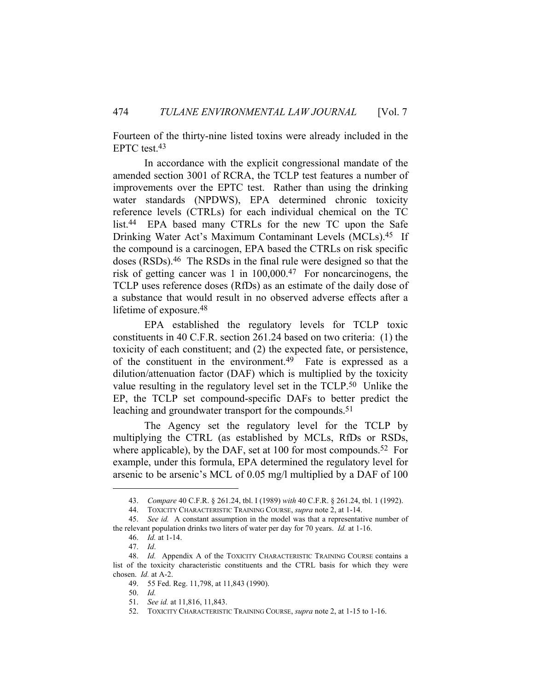Fourteen of the thirty-nine listed toxins were already included in the EPTC test.43

 In accordance with the explicit congressional mandate of the amended section 3001 of RCRA, the TCLP test features a number of improvements over the EPTC test. Rather than using the drinking water standards (NPDWS), EPA determined chronic toxicity reference levels (CTRLs) for each individual chemical on the TC list.44 EPA based many CTRLs for the new TC upon the Safe Drinking Water Act's Maximum Contaminant Levels (MCLs).<sup>45</sup> If the compound is a carcinogen, EPA based the CTRLs on risk specific doses (RSDs).46 The RSDs in the final rule were designed so that the risk of getting cancer was 1 in 100,000.47 For noncarcinogens, the TCLP uses reference doses (RfDs) as an estimate of the daily dose of a substance that would result in no observed adverse effects after a lifetime of exposure.48

 EPA established the regulatory levels for TCLP toxic constituents in 40 C.F.R. section 261.24 based on two criteria: (1) the toxicity of each constituent; and (2) the expected fate, or persistence, of the constituent in the environment.49 Fate is expressed as a dilution/attenuation factor (DAF) which is multiplied by the toxicity value resulting in the regulatory level set in the TCLP.50 Unlike the EP, the TCLP set compound-specific DAFs to better predict the leaching and groundwater transport for the compounds.<sup>51</sup>

 The Agency set the regulatory level for the TCLP by multiplying the CTRL (as established by MCLs, RfDs or RSDs, where applicable), by the DAF, set at  $100$  for most compounds.<sup>52</sup> For example, under this formula, EPA determined the regulatory level for arsenic to be arsenic's MCL of 0.05 mg/l multiplied by a DAF of 100

 <sup>43.</sup> *Compare* 40 C.F.R. § 261.24, tbl. I (1989) *with* 40 C.F.R. § 261.24, tbl. 1 (1992).

 <sup>44.</sup> TOXICITY CHARACTERISTIC TRAINING COURSE, *supra* note 2, at 1-14.

 <sup>45.</sup> *See id.* A constant assumption in the model was that a representative number of the relevant population drinks two liters of water per day for 70 years. *Id.* at 1-16.

 <sup>46.</sup> *Id.* at 1-14.

 <sup>47.</sup> *Id*.

 <sup>48.</sup> *Id.* Appendix A of the TOXICITY CHARACTERISTIC TRAINING COURSE contains a list of the toxicity characteristic constituents and the CTRL basis for which they were chosen. *Id.* at A-2.

 <sup>49. 55</sup> Fed. Reg. 11,798, at 11,843 (1990).

 <sup>50.</sup> *Id.* 

 <sup>51.</sup> *See id.* at 11,816, 11,843.

 <sup>52.</sup> TOXICITY CHARACTERISTIC TRAINING COURSE, *supra* note 2, at 1-15 to 1-16.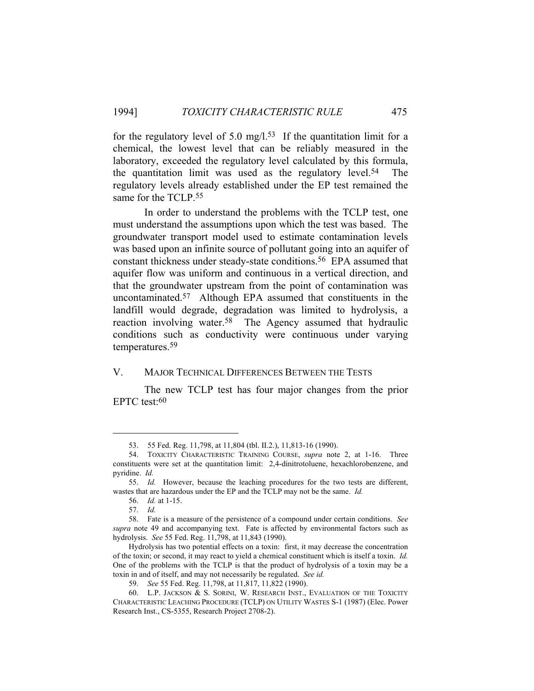for the regulatory level of 5.0 mg/l.<sup>53</sup> If the quantitation limit for a chemical, the lowest level that can be reliably measured in the laboratory, exceeded the regulatory level calculated by this formula, the quantitation limit was used as the regulatory level.54 The regulatory levels already established under the EP test remained the same for the TCLP.55

 In order to understand the problems with the TCLP test, one must understand the assumptions upon which the test was based. The groundwater transport model used to estimate contamination levels was based upon an infinite source of pollutant going into an aquifer of constant thickness under steady-state conditions.56 EPA assumed that aquifer flow was uniform and continuous in a vertical direction, and that the groundwater upstream from the point of contamination was uncontaminated.57 Although EPA assumed that constituents in the landfill would degrade, degradation was limited to hydrolysis, a reaction involving water.58 The Agency assumed that hydraulic conditions such as conductivity were continuous under varying temperatures.59

## V. MAJOR TECHNICAL DIFFERENCES BETWEEN THE TESTS

 The new TCLP test has four major changes from the prior EPTC test:60

 <sup>53. 55</sup> Fed. Reg. 11,798, at 11,804 (tbl. II.2.), 11,813-16 (1990).

 <sup>54.</sup> TOXICITY CHARACTERISTIC TRAINING COURSE, *supra* note 2, at 1-16. Three constituents were set at the quantitation limit: 2,4-dinitrotoluene, hexachlorobenzene, and pyridine. *Id.*

 <sup>55.</sup> *Id.* However, because the leaching procedures for the two tests are different, wastes that are hazardous under the EP and the TCLP may not be the same. *Id.*

 <sup>56.</sup> *Id.* at 1-15.

 <sup>57.</sup> *Id.* 

 <sup>58.</sup> Fate is a measure of the persistence of a compound under certain conditions. *See supra* note 49 and accompanying text. Fate is affected by environmental factors such as hydrolysis. *See* 55 Fed. Reg. 11,798, at 11,843 (1990).

Hydrolysis has two potential effects on a toxin: first, it may decrease the concentration of the toxin; or second, it may react to yield a chemical constituent which is itself a toxin. *Id.* One of the problems with the TCLP is that the product of hydrolysis of a toxin may be a toxin in and of itself, and may not necessarily be regulated. *See id.* 

 <sup>59.</sup> *See* 55 Fed. Reg. 11,798, at 11,817, 11,822 (1990).

 <sup>60.</sup> L.P. JACKSON & S. SORINI, W. RESEARCH INST., EVALUATION OF THE TOXICITY CHARACTERISTIC LEACHING PROCEDURE (TCLP) ON UTILITY WASTES S-1 (1987) (Elec. Power Research Inst., CS-5355, Research Project 2708-2).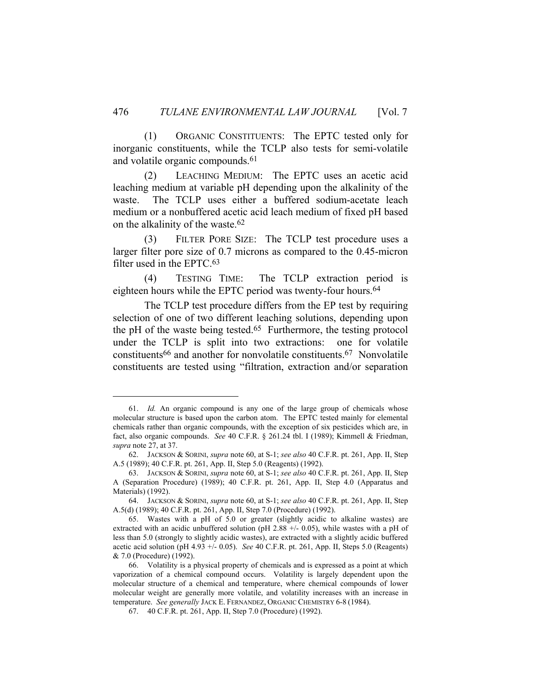(1) ORGANIC CONSTITUENTS: The EPTC tested only for inorganic constituents, while the TCLP also tests for semi-volatile and volatile organic compounds.<sup>61</sup>

 (2) LEACHING MEDIUM: The EPTC uses an acetic acid leaching medium at variable pH depending upon the alkalinity of the waste. The TCLP uses either a buffered sodium-acetate leach medium or a nonbuffered acetic acid leach medium of fixed pH based on the alkalinity of the waste.62

 (3) FILTER PORE SIZE: The TCLP test procedure uses a larger filter pore size of 0.7 microns as compared to the 0.45-micron filter used in the EPTC.63

 (4) TESTING TIME: The TCLP extraction period is eighteen hours while the EPTC period was twenty-four hours.<sup>64</sup>

 The TCLP test procedure differs from the EP test by requiring selection of one of two different leaching solutions, depending upon the pH of the waste being tested.<sup>65</sup> Furthermore, the testing protocol under the TCLP is split into two extractions: one for volatile constituents66 and another for nonvolatile constituents.67 Nonvolatile constituents are tested using "filtration, extraction and/or separation

 <sup>61.</sup> *Id.* An organic compound is any one of the large group of chemicals whose molecular structure is based upon the carbon atom. The EPTC tested mainly for elemental chemicals rather than organic compounds, with the exception of six pesticides which are, in fact, also organic compounds. *See* 40 C.F.R. § 261.24 tbl. I (1989); Kimmell & Friedman, *supra* note 27, at 37.

 <sup>62.</sup> JACKSON & SORINI, *supra* note 60, at S-1; *see also* 40 C.F.R. pt. 261, App. II, Step A.5 (1989); 40 C.F.R. pt. 261, App. II, Step 5.0 (Reagents) (1992).

 <sup>63.</sup> JACKSON & SORINI, *supra* note 60, at S-1; *see also* 40 C.F.R. pt. 261, App. II, Step A (Separation Procedure) (1989); 40 C.F.R. pt. 261, App. II, Step 4.0 (Apparatus and Materials) (1992).

 <sup>64.</sup> JACKSON & SORINI, *supra* note 60, at S-1; *see also* 40 C.F.R. pt. 261, App. II, Step A.5(d) (1989); 40 C.F.R. pt. 261, App. II, Step 7.0 (Procedure) (1992).

 <sup>65.</sup> Wastes with a pH of 5.0 or greater (slightly acidic to alkaline wastes) are extracted with an acidic unbuffered solution (pH 2.88 +/- 0.05), while wastes with a pH of less than 5.0 (strongly to slightly acidic wastes), are extracted with a slightly acidic buffered acetic acid solution (pH 4.93 +/- 0.05). *See* 40 C.F.R. pt. 261, App. II, Steps 5.0 (Reagents) & 7.0 (Procedure) (1992).

 <sup>66.</sup> Volatility is a physical property of chemicals and is expressed as a point at which vaporization of a chemical compound occurs. Volatility is largely dependent upon the molecular structure of a chemical and temperature, where chemical compounds of lower molecular weight are generally more volatile, and volatility increases with an increase in temperature. *See generally* JACK E. FERNANDEZ, ORGANIC CHEMISTRY 6-8 (1984).

 <sup>67. 40</sup> C.F.R. pt. 261, App. II, Step 7.0 (Procedure) (1992).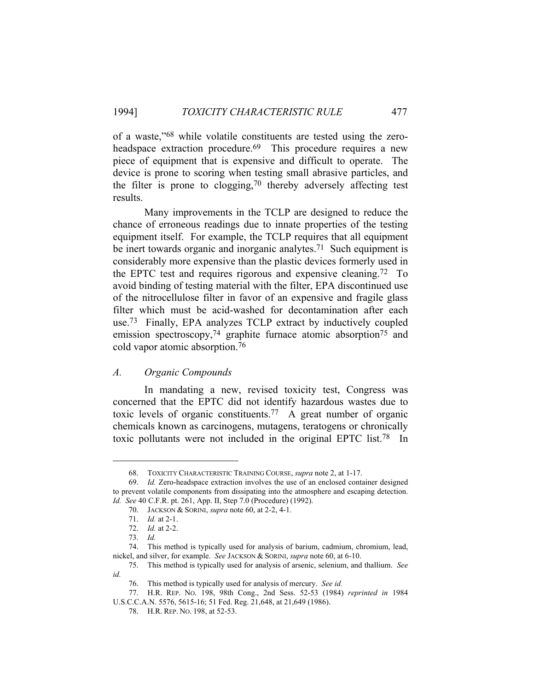of a waste,"68 while volatile constituents are tested using the zeroheadspace extraction procedure.<sup>69</sup> This procedure requires a new piece of equipment that is expensive and difficult to operate. The device is prone to scoring when testing small abrasive particles, and the filter is prone to clogging,  $70$  thereby adversely affecting test results.

 Many improvements in the TCLP are designed to reduce the chance of erroneous readings due to innate properties of the testing equipment itself. For example, the TCLP requires that all equipment be inert towards organic and inorganic analytes.<sup>71</sup> Such equipment is considerably more expensive than the plastic devices formerly used in the EPTC test and requires rigorous and expensive cleaning.72 To avoid binding of testing material with the filter, EPA discontinued use of the nitrocellulose filter in favor of an expensive and fragile glass filter which must be acid-washed for decontamination after each use.73 Finally, EPA analyzes TCLP extract by inductively coupled emission spectroscopy,<sup>74</sup> graphite furnace atomic absorption<sup>75</sup> and cold vapor atomic absorption.76

## *A. Organic Compounds*

 In mandating a new, revised toxicity test, Congress was concerned that the EPTC did not identify hazardous wastes due to toxic levels of organic constituents.77 A great number of organic chemicals known as carcinogens, mutagens, teratogens or chronically toxic pollutants were not included in the original EPTC list.78 In

 <sup>68.</sup> TOXICITY CHARACTERISTIC TRAINING COURSE, *supra* note 2, at 1-17.

 <sup>69.</sup> *Id.* Zero-headspace extraction involves the use of an enclosed container designed to prevent volatile components from dissipating into the atmosphere and escaping detection. *Id. See* 40 C.F.R. pt. 261, App. II, Step 7.0 (Procedure) (1992).

 <sup>70.</sup> JACKSON & SORINI, *supra* note 60, at 2-2, 4-1.

 <sup>71.</sup> *Id.* at 2-1.

 <sup>72.</sup> *Id.* at 2-2.

 <sup>73.</sup> *Id.* 

 <sup>74.</sup> This method is typically used for analysis of barium, cadmium, chromium, lead, nickel, and silver, for example. *See* JACKSON & SORINI, *supra* note 60, at 6-10.

 <sup>75.</sup> This method is typically used for analysis of arsenic, selenium, and thallium. *See id.*

 <sup>76.</sup> This method is typically used for analysis of mercury. *See id.*

 <sup>77.</sup> H.R. REP. NO. 198, 98th Cong., 2nd Sess. 52-53 (1984) *reprinted in* 1984 U.S.C.C.A.N. 5576, 5615-16; 51 Fed. Reg. 21,648, at 21,649 (1986).

 <sup>78.</sup> H.R. REP. NO. 198, at 52-53.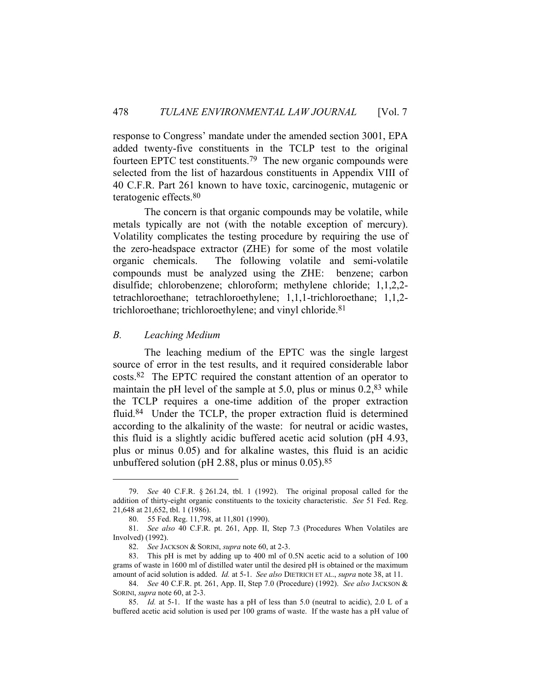response to Congress' mandate under the amended section 3001, EPA added twenty-five constituents in the TCLP test to the original fourteen EPTC test constituents.79 The new organic compounds were selected from the list of hazardous constituents in Appendix VIII of 40 C.F.R. Part 261 known to have toxic, carcinogenic, mutagenic or teratogenic effects.80

 The concern is that organic compounds may be volatile, while metals typically are not (with the notable exception of mercury). Volatility complicates the testing procedure by requiring the use of the zero-headspace extractor (ZHE) for some of the most volatile organic chemicals. The following volatile and semi-volatile compounds must be analyzed using the ZHE: benzene; carbon disulfide; chlorobenzene; chloroform; methylene chloride; 1,1,2,2 tetrachloroethane; tetrachloroethylene; 1,1,1-trichloroethane; 1,1,2 trichloroethane; trichloroethylene; and vinyl chloride.81

#### *B. Leaching Medium*

 The leaching medium of the EPTC was the single largest source of error in the test results, and it required considerable labor costs.82 The EPTC required the constant attention of an operator to maintain the pH level of the sample at 5.0, plus or minus 0.2,<sup>83</sup> while the TCLP requires a one-time addition of the proper extraction fluid.84 Under the TCLP, the proper extraction fluid is determined according to the alkalinity of the waste: for neutral or acidic wastes, this fluid is a slightly acidic buffered acetic acid solution (pH 4.93, plus or minus 0.05) and for alkaline wastes, this fluid is an acidic unbuffered solution (pH 2.88, plus or minus  $0.05$ ).<sup>85</sup>

 <sup>79.</sup> *See* 40 C.F.R. § 261.24, tbl. 1 (1992). The original proposal called for the addition of thirty-eight organic constituents to the toxicity characteristic. *See* 51 Fed. Reg. 21,648 at 21,652, tbl. 1 (1986).

 <sup>80. 55</sup> Fed. Reg. 11,798, at 11,801 (1990).

 <sup>81.</sup> *See also* 40 C.F.R. pt. 261, App. II, Step 7.3 (Procedures When Volatiles are Involved) (1992).

 <sup>82.</sup> *See* JACKSON & SORINI, *supra* note 60, at 2-3.

 <sup>83.</sup> This pH is met by adding up to 400 ml of 0.5N acetic acid to a solution of 100 grams of waste in 1600 ml of distilled water until the desired pH is obtained or the maximum amount of acid solution is added. *Id.* at 5-1. *See also* DIETRICH ET AL., *supra* note 38, at 11.

 <sup>84.</sup> *See* 40 C.F.R. pt. 261, App. II, Step 7.0 (Procedure) (1992). *See also* JACKSON & SORINI, *supra* note 60, at 2-3.

 <sup>85.</sup> *Id.* at 5-1. If the waste has a pH of less than 5.0 (neutral to acidic), 2.0 L of a buffered acetic acid solution is used per 100 grams of waste. If the waste has a pH value of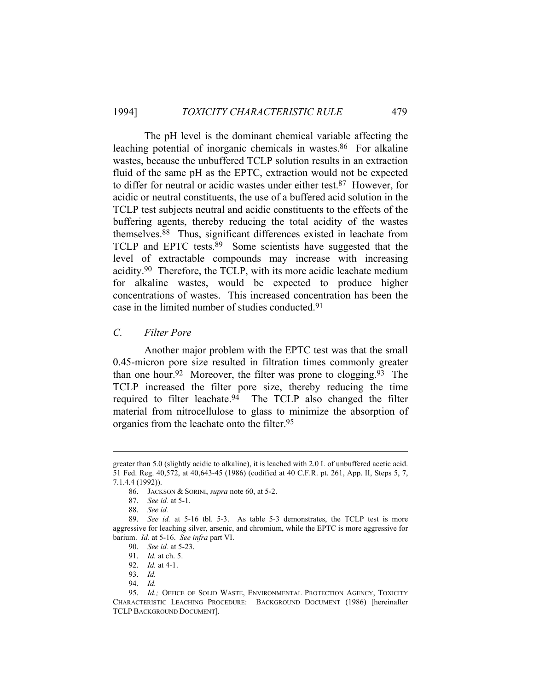The pH level is the dominant chemical variable affecting the leaching potential of inorganic chemicals in wastes.<sup>86</sup> For alkaline wastes, because the unbuffered TCLP solution results in an extraction fluid of the same pH as the EPTC, extraction would not be expected to differ for neutral or acidic wastes under either test.87 However, for acidic or neutral constituents, the use of a buffered acid solution in the TCLP test subjects neutral and acidic constituents to the effects of the buffering agents, thereby reducing the total acidity of the wastes themselves.88 Thus, significant differences existed in leachate from TCLP and EPTC tests.<sup>89</sup> Some scientists have suggested that the level of extractable compounds may increase with increasing acidity.90 Therefore, the TCLP, with its more acidic leachate medium for alkaline wastes, would be expected to produce higher concentrations of wastes. This increased concentration has been the case in the limited number of studies conducted.91

*C. Filter Pore* 

 Another major problem with the EPTC test was that the small 0.45-micron pore size resulted in filtration times commonly greater than one hour.<sup>92</sup> Moreover, the filter was prone to clogging.<sup>93</sup> The TCLP increased the filter pore size, thereby reducing the time required to filter leachate.94 The TCLP also changed the filter material from nitrocellulose to glass to minimize the absorption of organics from the leachate onto the filter.95

greater than 5.0 (slightly acidic to alkaline), it is leached with 2.0 L of unbuffered acetic acid. 51 Fed. Reg. 40,572, at 40,643-45 (1986) (codified at 40 C.F.R. pt. 261, App. II, Steps 5, 7, 7.1.4.4 (1992)).

 <sup>86.</sup> JACKSON & SORINI, *supra* note 60, at 5-2.

 <sup>87.</sup> *See id.* at 5-1.

 <sup>88.</sup> *See id.*

 <sup>89.</sup> *See id.* at 5-16 tbl. 5-3. As table 5-3 demonstrates, the TCLP test is more aggressive for leaching silver, arsenic, and chromium, while the EPTC is more aggressive for barium. *Id.* at 5-16. *See infra* part VI.

 <sup>90.</sup> *See id.* at 5-23.

 <sup>91.</sup> *Id.* at ch. 5.

 <sup>92.</sup> *Id.* at 4-1.

 <sup>93.</sup> *Id.*

 <sup>94.</sup> *Id.* 

<sup>95.</sup> *Id.*; OFFICE OF SOLID WASTE, ENVIRONMENTAL PROTECTION AGENCY, TOXICITY CHARACTERISTIC LEACHING PROCEDURE: BACKGROUND DOCUMENT (1986) [hereinafter TCLP BACKGROUND DOCUMENT].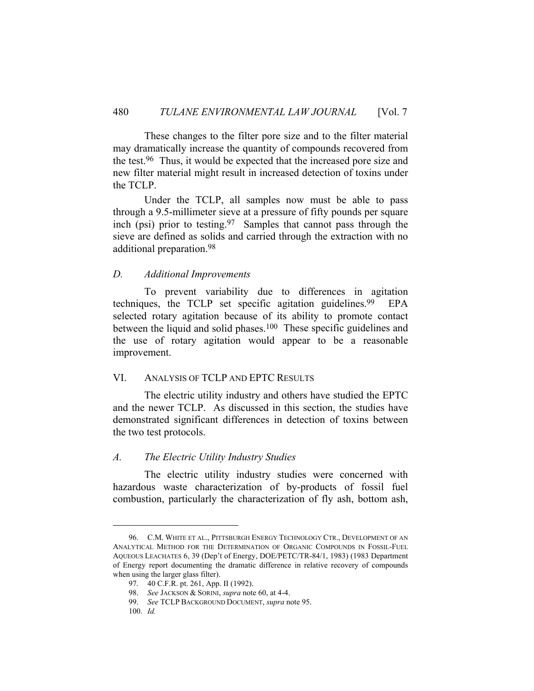These changes to the filter pore size and to the filter material may dramatically increase the quantity of compounds recovered from the test.96 Thus, it would be expected that the increased pore size and new filter material might result in increased detection of toxins under the TCLP.

 Under the TCLP, all samples now must be able to pass through a 9.5-millimeter sieve at a pressure of fifty pounds per square inch (psi) prior to testing.<sup>97</sup> Samples that cannot pass through the sieve are defined as solids and carried through the extraction with no additional preparation.98

## *D. Additional Improvements*

 To prevent variability due to differences in agitation techniques, the TCLP set specific agitation guidelines.<sup>99</sup> EPA selected rotary agitation because of its ability to promote contact between the liquid and solid phases.<sup>100</sup> These specific guidelines and the use of rotary agitation would appear to be a reasonable improvement.

### VI. ANALYSIS OF TCLP AND EPTC RESULTS

 The electric utility industry and others have studied the EPTC and the newer TCLP. As discussed in this section, the studies have demonstrated significant differences in detection of toxins between the two test protocols.

#### *A. The Electric Utility Industry Studies*

 The electric utility industry studies were concerned with hazardous waste characterization of by-products of fossil fuel combustion, particularly the characterization of fly ash, bottom ash,

 <sup>96.</sup> C.M. WHITE ET AL., PITTSBURGH ENERGY TECHNOLOGY CTR., DEVELOPMENT OF AN ANALYTICAL METHOD FOR THE DETERMINATION OF ORGANIC COMPOUNDS IN FOSSIL-FUEL AQUEOUS LEACHATES 6, 39 (Dep't of Energy, DOE/PETC/TR-84/1, 1983) (1983 Department of Energy report documenting the dramatic difference in relative recovery of compounds when using the larger glass filter).

 <sup>97. 40</sup> C.F.R. pt. 261, App. II (1992).

 <sup>98.</sup> *See* JACKSON & SORINI, *supra* note 60, at 4-4.

 <sup>99.</sup> *See* TCLP BACKGROUND DOCUMENT, *supra* note 95.

 <sup>100.</sup> *Id.*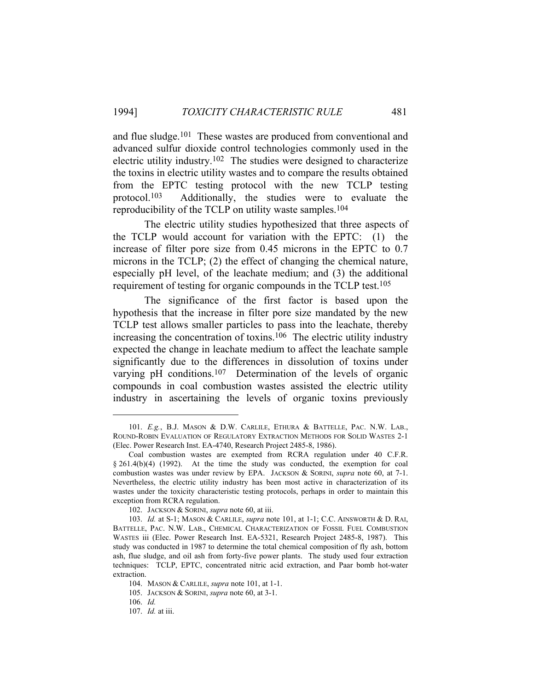and flue sludge.101 These wastes are produced from conventional and advanced sulfur dioxide control technologies commonly used in the electric utility industry.102 The studies were designed to characterize the toxins in electric utility wastes and to compare the results obtained from the EPTC testing protocol with the new TCLP testing protocol.103 Additionally, the studies were to evaluate the reproducibility of the TCLP on utility waste samples.104

 The electric utility studies hypothesized that three aspects of the TCLP would account for variation with the EPTC: (1) the increase of filter pore size from 0.45 microns in the EPTC to 0.7 microns in the TCLP; (2) the effect of changing the chemical nature, especially pH level, of the leachate medium; and (3) the additional requirement of testing for organic compounds in the TCLP test.105

 The significance of the first factor is based upon the hypothesis that the increase in filter pore size mandated by the new TCLP test allows smaller particles to pass into the leachate, thereby increasing the concentration of toxins.106 The electric utility industry expected the change in leachate medium to affect the leachate sample significantly due to the differences in dissolution of toxins under varying pH conditions.107 Determination of the levels of organic compounds in coal combustion wastes assisted the electric utility industry in ascertaining the levels of organic toxins previously

 <sup>101.</sup> *E.g.*, B.J. MASON & D.W. CARLILE, ETHURA & BATTELLE, PAC. N.W. LAB., ROUND-ROBIN EVALUATION OF REGULATORY EXTRACTION METHODS FOR SOLID WASTES 2-1 (Elec. Power Research Inst. EA-4740, Research Project 2485-8, 1986).

Coal combustion wastes are exempted from RCRA regulation under 40 C.F.R. § 261.4(b)(4) (1992). At the time the study was conducted, the exemption for coal combustion wastes was under review by EPA. JACKSON & SORINI, *supra* note 60, at 7-1. Nevertheless, the electric utility industry has been most active in characterization of its wastes under the toxicity characteristic testing protocols, perhaps in order to maintain this exception from RCRA regulation.

 <sup>102.</sup> JACKSON & SORINI, *supra* note 60, at iii.

 <sup>103.</sup> *Id.* at S-1; MASON & CARLILE, *supra* note 101, at 1-1; C.C. AINSWORTH & D. RAI, BATTELLE, PAC. N.W. LAB., CHEMICAL CHARACTERIZATION OF FOSSIL FUEL COMBUSTION WASTES iii (Elec. Power Research Inst. EA-5321, Research Project 2485-8, 1987). This study was conducted in 1987 to determine the total chemical composition of fly ash, bottom ash, flue sludge, and oil ash from forty-five power plants. The study used four extraction techniques: TCLP, EPTC, concentrated nitric acid extraction, and Paar bomb hot-water extraction.

 <sup>104.</sup> MASON & CARLILE, *supra* note 101, at 1-1.

 <sup>105.</sup> JACKSON & SORINI, *supra* note 60, at 3-1.

 <sup>106.</sup> *Id.* 

 <sup>107.</sup> *Id.* at iii.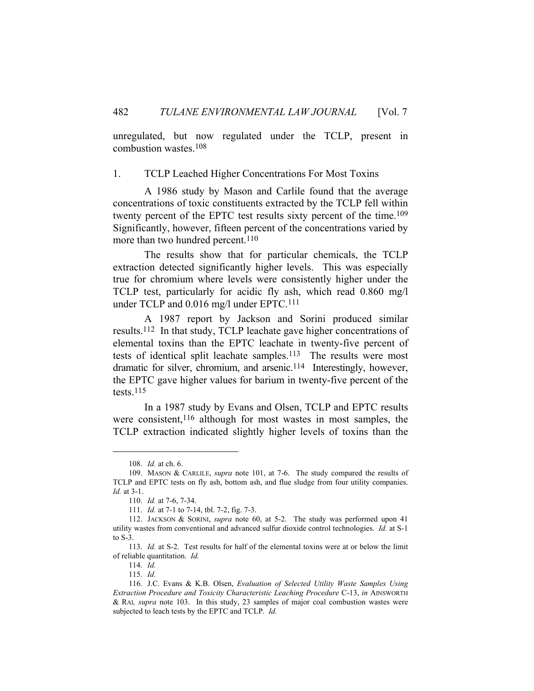unregulated, but now regulated under the TCLP, present in combustion wastes.108

1. TCLP Leached Higher Concentrations For Most Toxins

 A 1986 study by Mason and Carlile found that the average concentrations of toxic constituents extracted by the TCLP fell within twenty percent of the EPTC test results sixty percent of the time.<sup>109</sup> Significantly, however, fifteen percent of the concentrations varied by more than two hundred percent.<sup>110</sup>

 The results show that for particular chemicals, the TCLP extraction detected significantly higher levels. This was especially true for chromium where levels were consistently higher under the TCLP test, particularly for acidic fly ash, which read 0.860 mg/l under TCLP and 0.016 mg/l under EPTC.111

 A 1987 report by Jackson and Sorini produced similar results.112 In that study, TCLP leachate gave higher concentrations of elemental toxins than the EPTC leachate in twenty-five percent of tests of identical split leachate samples.113 The results were most dramatic for silver, chromium, and arsenic.114 Interestingly, however, the EPTC gave higher values for barium in twenty-five percent of the tests.115

 In a 1987 study by Evans and Olsen, TCLP and EPTC results were consistent,<sup>116</sup> although for most wastes in most samples, the TCLP extraction indicated slightly higher levels of toxins than the

 <sup>108.</sup> *Id.* at ch. 6.

 <sup>109.</sup> MASON & CARLILE, *supra* note 101, at 7-6. The study compared the results of TCLP and EPTC tests on fly ash, bottom ash, and flue sludge from four utility companies. *Id.* at 3-1.

 <sup>110.</sup> *Id.* at 7-6, 7-34.

 <sup>111.</sup> *Id.* at 7-1 to 7-14, tbl. 7-2, fig. 7-3.

 <sup>112.</sup> JACKSON & SORINI, *supra* note 60, at 5-2. The study was performed upon 41 utility wastes from conventional and advanced sulfur dioxide control technologies. *Id.* at S-1 to S-3.

 <sup>113.</sup> *Id.* at S-2. Test results for half of the elemental toxins were at or below the limit of reliable quantitation. *Id.* 

 <sup>114.</sup> *Id.* 

 <sup>115.</sup> *Id.* 

 <sup>116.</sup> J.C. Evans & K.B. Olsen, *Evaluation of Selected Utility Waste Samples Using Extraction Procedure and Toxicity Characteristic Leaching Procedure* C-13, *in* AINSWORTH & RAI*, supra* note 103. In this study, 23 samples of major coal combustion wastes were subjected to leach tests by the EPTC and TCLP. *Id.*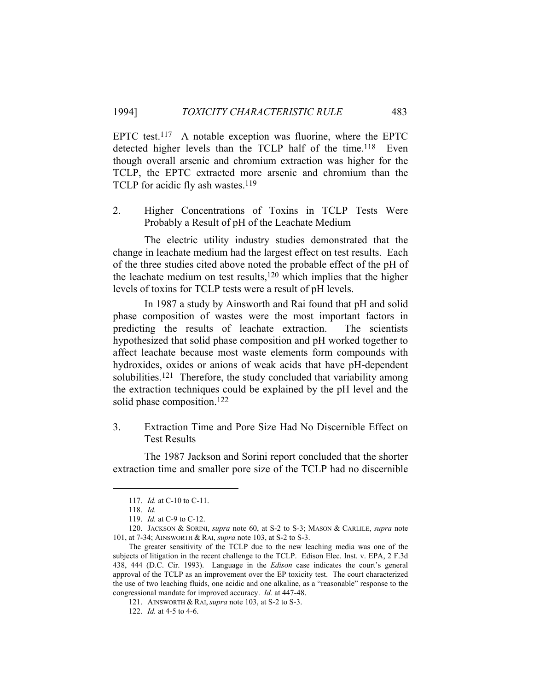EPTC test.<sup>117</sup> A notable exception was fluorine, where the EPTC detected higher levels than the TCLP half of the time.<sup>118</sup> Even though overall arsenic and chromium extraction was higher for the TCLP, the EPTC extracted more arsenic and chromium than the TCLP for acidic fly ash wastes.<sup>119</sup>

2. Higher Concentrations of Toxins in TCLP Tests Were Probably a Result of pH of the Leachate Medium

 The electric utility industry studies demonstrated that the change in leachate medium had the largest effect on test results. Each of the three studies cited above noted the probable effect of the pH of the leachate medium on test results, $120$  which implies that the higher levels of toxins for TCLP tests were a result of pH levels.

 In 1987 a study by Ainsworth and Rai found that pH and solid phase composition of wastes were the most important factors in predicting the results of leachate extraction. The scientists hypothesized that solid phase composition and pH worked together to affect leachate because most waste elements form compounds with hydroxides, oxides or anions of weak acids that have pH-dependent solubilities.<sup>121</sup> Therefore, the study concluded that variability among the extraction techniques could be explained by the pH level and the solid phase composition.122

3. Extraction Time and Pore Size Had No Discernible Effect on Test Results

 The 1987 Jackson and Sorini report concluded that the shorter extraction time and smaller pore size of the TCLP had no discernible

 <sup>117.</sup> *Id.* at C-10 to C-11.

 <sup>118.</sup> *Id.* 

 <sup>119.</sup> *Id.* at C-9 to C-12.

 <sup>120.</sup> JACKSON & SORINI, *supra* note 60, at S-2 to S-3; MASON & CARLILE, *supra* note 101, at 7-34; AINSWORTH & RAI, *supra* note 103, at S-2 to S-3.

The greater sensitivity of the TCLP due to the new leaching media was one of the subjects of litigation in the recent challenge to the TCLP. Edison Elec. Inst. v. EPA, 2 F.3d 438, 444 (D.C. Cir. 1993). Language in the *Edison* case indicates the court's general approval of the TCLP as an improvement over the EP toxicity test. The court characterized the use of two leaching fluids, one acidic and one alkaline, as a "reasonable" response to the congressional mandate for improved accuracy. *Id.* at 447-48.

 <sup>121.</sup> AINSWORTH & RAI, *supra* note 103, at S-2 to S-3.

 <sup>122.</sup> *Id.* at 4-5 to 4-6.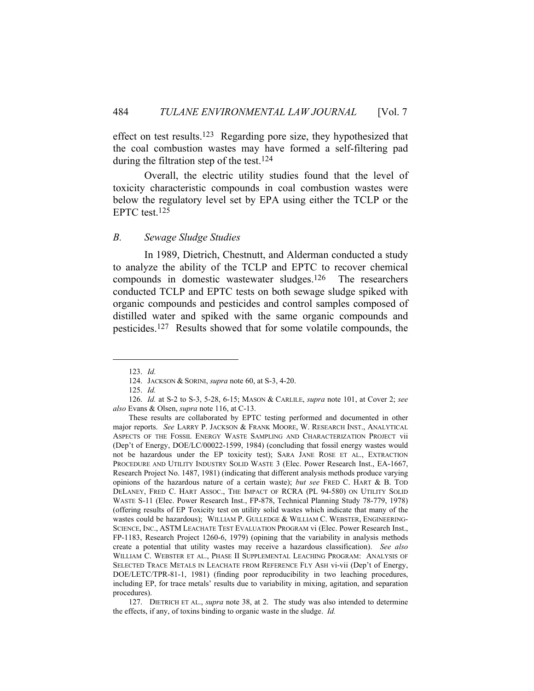effect on test results.123 Regarding pore size, they hypothesized that the coal combustion wastes may have formed a self-filtering pad during the filtration step of the test.124

 Overall, the electric utility studies found that the level of toxicity characteristic compounds in coal combustion wastes were below the regulatory level set by EPA using either the TCLP or the EPTC test.125

#### *B. Sewage Sludge Studies*

 In 1989, Dietrich, Chestnutt, and Alderman conducted a study to analyze the ability of the TCLP and EPTC to recover chemical compounds in domestic wastewater sludges.126 The researchers conducted TCLP and EPTC tests on both sewage sludge spiked with organic compounds and pesticides and control samples composed of distilled water and spiked with the same organic compounds and pesticides.127 Results showed that for some volatile compounds, the

 <sup>123.</sup> *Id.*

 <sup>124.</sup> JACKSON & SORINI, *supra* note 60, at S-3, 4-20.

 <sup>125.</sup> *Id.*

 <sup>126.</sup> *Id.* at S-2 to S-3, 5-28, 6-15; MASON & CARLILE, *supra* note 101, at Cover 2; *see also* Evans & Olsen, *supra* note 116, at C-13.

These results are collaborated by EPTC testing performed and documented in other major reports. *See* LARRY P. JACKSON & FRANK MOORE, W. RESEARCH INST., ANALYTICAL ASPECTS OF THE FOSSIL ENERGY WASTE SAMPLING AND CHARACTERIZATION PROJECT vii (Dep't of Energy, DOE/LC/00022-1599, 1984) (concluding that fossil energy wastes would not be hazardous under the EP toxicity test); SARA JANE ROSE ET AL., EXTRACTION PROCEDURE AND UTILITY INDUSTRY SOLID WASTE 3 (Elec. Power Research Inst., EA-1667, Research Project No. 1487, 1981) (indicating that different analysis methods produce varying opinions of the hazardous nature of a certain waste); *but see* FRED C. HART & B. TOD DELANEY, FRED C. HART ASSOC., THE IMPACT OF RCRA (PL 94-580) ON UTILITY SOLID WASTE S-11 (Elec. Power Research Inst., FP-878, Technical Planning Study 78-779, 1978) (offering results of EP Toxicity test on utility solid wastes which indicate that many of the wastes could be hazardous); WILLIAM P. GULLEDGE & WILLIAM C. WEBSTER, ENGINEERING-SCIENCE, INC., ASTM LEACHATE TEST EVALUATION PROGRAM vi (Elec. Power Research Inst., FP-1183, Research Project 1260-6, 1979) (opining that the variability in analysis methods create a potential that utility wastes may receive a hazardous classification). *See also* WILLIAM C. WEBSTER ET AL., PHASE II SUPPLEMENTAL LEACHING PROGRAM: ANALYSIS OF SELECTED TRACE METALS IN LEACHATE FROM REFERENCE FLY ASH vi-vii (Dep't of Energy, DOE/LETC/TPR-81-1, 1981) (finding poor reproducibility in two leaching procedures, including EP, for trace metals' results due to variability in mixing, agitation, and separation procedures).

 <sup>127.</sup> DIETRICH ET AL., *supra* note 38, at 2. The study was also intended to determine the effects, if any, of toxins binding to organic waste in the sludge. *Id.*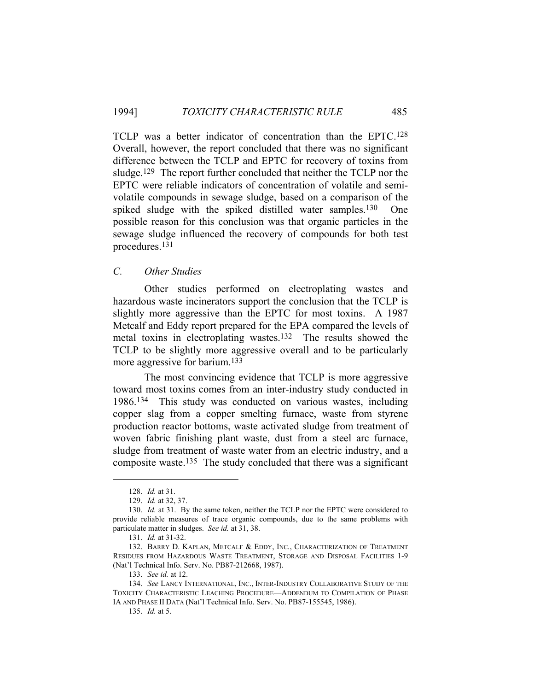TCLP was a better indicator of concentration than the EPTC.128 Overall, however, the report concluded that there was no significant difference between the TCLP and EPTC for recovery of toxins from sludge.<sup>129</sup> The report further concluded that neither the TCLP nor the EPTC were reliable indicators of concentration of volatile and semivolatile compounds in sewage sludge, based on a comparison of the spiked sludge with the spiked distilled water samples.<sup>130</sup> One possible reason for this conclusion was that organic particles in the sewage sludge influenced the recovery of compounds for both test procedures.131

# *C. Other Studies*

 Other studies performed on electroplating wastes and hazardous waste incinerators support the conclusion that the TCLP is slightly more aggressive than the EPTC for most toxins. A 1987 Metcalf and Eddy report prepared for the EPA compared the levels of metal toxins in electroplating wastes.132 The results showed the TCLP to be slightly more aggressive overall and to be particularly more aggressive for barium.133

 The most convincing evidence that TCLP is more aggressive toward most toxins comes from an inter-industry study conducted in 1986.134 This study was conducted on various wastes, including copper slag from a copper smelting furnace, waste from styrene production reactor bottoms, waste activated sludge from treatment of woven fabric finishing plant waste, dust from a steel arc furnace, sludge from treatment of waste water from an electric industry, and a composite waste.135 The study concluded that there was a significant

 <sup>128.</sup> *Id.* at 31.

 <sup>129.</sup> *Id.* at 32, 37.

 <sup>130.</sup> *Id.* at 31. By the same token, neither the TCLP nor the EPTC were considered to provide reliable measures of trace organic compounds, due to the same problems with particulate matter in sludges. *See id.* at 31, 38.

 <sup>131.</sup> *Id.* at 31-32.

<sup>132.</sup> BARRY D. KAPLAN, METCALF & EDDY, INC., CHARACTERIZATION OF TREATMENT RESIDUES FROM HAZARDOUS WASTE TREATMENT, STORAGE AND DISPOSAL FACILITIES 1-9 (Nat'l Technical Info. Serv. No. PB87-212668, 1987).

 <sup>133.</sup> *See id.* at 12.

 <sup>134.</sup> *See* LANCY INTERNATIONAL, INC., INTER-INDUSTRY COLLABORATIVE STUDY OF THE TOXICITY CHARACTERISTIC LEACHING PROCEDURE—ADDENDUM TO COMPILATION OF PHASE IA AND PHASE II DATA (Nat'l Technical Info. Serv. No. PB87-155545, 1986).

 <sup>135.</sup> *Id.* at 5.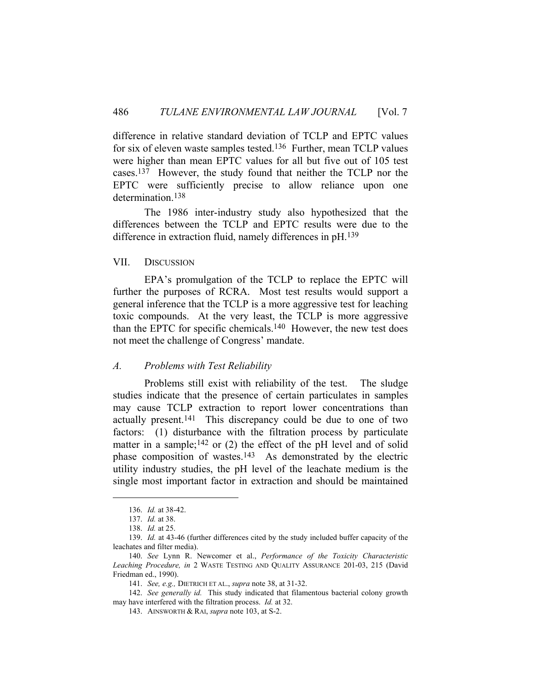difference in relative standard deviation of TCLP and EPTC values for six of eleven waste samples tested.136 Further, mean TCLP values were higher than mean EPTC values for all but five out of 105 test cases.137 However, the study found that neither the TCLP nor the EPTC were sufficiently precise to allow reliance upon one determination.<sup>138</sup>

 The 1986 inter-industry study also hypothesized that the differences between the TCLP and EPTC results were due to the difference in extraction fluid, namely differences in pH.139

#### VII. DISCUSSION

 EPA's promulgation of the TCLP to replace the EPTC will further the purposes of RCRA. Most test results would support a general inference that the TCLP is a more aggressive test for leaching toxic compounds. At the very least, the TCLP is more aggressive than the EPTC for specific chemicals.140 However, the new test does not meet the challenge of Congress' mandate.

#### *A. Problems with Test Reliability*

 Problems still exist with reliability of the test. The sludge studies indicate that the presence of certain particulates in samples may cause TCLP extraction to report lower concentrations than actually present.141 This discrepancy could be due to one of two factors: (1) disturbance with the filtration process by particulate matter in a sample;<sup>142</sup> or  $(2)$  the effect of the pH level and of solid phase composition of wastes.<sup>143</sup> As demonstrated by the electric utility industry studies, the pH level of the leachate medium is the single most important factor in extraction and should be maintained

 <sup>136.</sup> *Id.* at 38-42.

 <sup>137.</sup> *Id.* at 38.

 <sup>138.</sup> *Id.* at 25.

 <sup>139.</sup> *Id.* at 43-46 (further differences cited by the study included buffer capacity of the leachates and filter media).

 <sup>140.</sup> *See* Lynn R. Newcomer et al., *Performance of the Toxicity Characteristic Leaching Procedure, in* 2 WASTE TESTING AND QUALITY ASSURANCE 201-03, 215 (David Friedman ed., 1990).

 <sup>141.</sup> *See, e.g.,* DIETRICH ET AL., *supra* note 38, at 31-32.

 <sup>142.</sup> *See generally id.* This study indicated that filamentous bacterial colony growth may have interfered with the filtration process. *Id.* at 32.

 <sup>143.</sup> AINSWORTH & RAI, *supra* note 103, at S-2.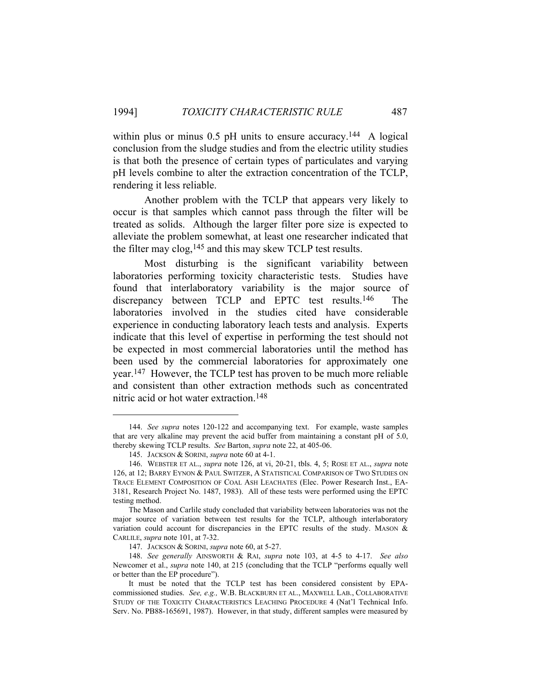within plus or minus 0.5 pH units to ensure accuracy.<sup>144</sup> A logical conclusion from the sludge studies and from the electric utility studies is that both the presence of certain types of particulates and varying pH levels combine to alter the extraction concentration of the TCLP, rendering it less reliable.

 Another problem with the TCLP that appears very likely to occur is that samples which cannot pass through the filter will be treated as solids. Although the larger filter pore size is expected to alleviate the problem somewhat, at least one researcher indicated that the filter may clog,145 and this may skew TCLP test results.

 Most disturbing is the significant variability between laboratories performing toxicity characteristic tests. Studies have found that interlaboratory variability is the major source of discrepancy between TCLP and EPTC test results.146 The laboratories involved in the studies cited have considerable experience in conducting laboratory leach tests and analysis. Experts indicate that this level of expertise in performing the test should not be expected in most commercial laboratories until the method has been used by the commercial laboratories for approximately one year.147 However, the TCLP test has proven to be much more reliable and consistent than other extraction methods such as concentrated nitric acid or hot water extraction.148

 <sup>144.</sup> *See supra* notes 120-122 and accompanying text. For example, waste samples that are very alkaline may prevent the acid buffer from maintaining a constant pH of 5.0, thereby skewing TCLP results. *See* Barton, *supra* note 22, at 405-06.

 <sup>145.</sup> JACKSON & SORINI, *supra* note 60 at 4-1.

 <sup>146.</sup> WEBSTER ET AL., *supra* note 126, at vi, 20-21, tbls. 4, 5; ROSE ET AL., *supra* note 126, at 12; BARRY EYNON & PAUL SWITZER, A STATISTICAL COMPARISON OF TWO STUDIES ON TRACE ELEMENT COMPOSITION OF COAL ASH LEACHATES (Elec. Power Research Inst., EA-3181, Research Project No. 1487, 1983). All of these tests were performed using the EPTC testing method.

The Mason and Carlile study concluded that variability between laboratories was not the major source of variation between test results for the TCLP, although interlaboratory variation could account for discrepancies in the EPTC results of the study. MASON & CARLILE, *supra* note 101, at 7-32.

 <sup>147.</sup> JACKSON & SORINI, *supra* note 60, at 5-27.

 <sup>148.</sup> *See generally* AINSWORTH & RAI, *supra* note 103, at 4-5 to 4-17. *See also* Newcomer et al., *supra* note 140, at 215 (concluding that the TCLP "performs equally well or better than the EP procedure").

It must be noted that the TCLP test has been considered consistent by EPAcommissioned studies. *See, e.g.,* W.B. BLACKBURN ET AL., MAXWELL LAB., COLLABORATIVE STUDY OF THE TOXICITY CHARACTERISTICS LEACHING PROCEDURE 4 (Nat'l Technical Info. Serv. No. PB88-165691, 1987). However, in that study, different samples were measured by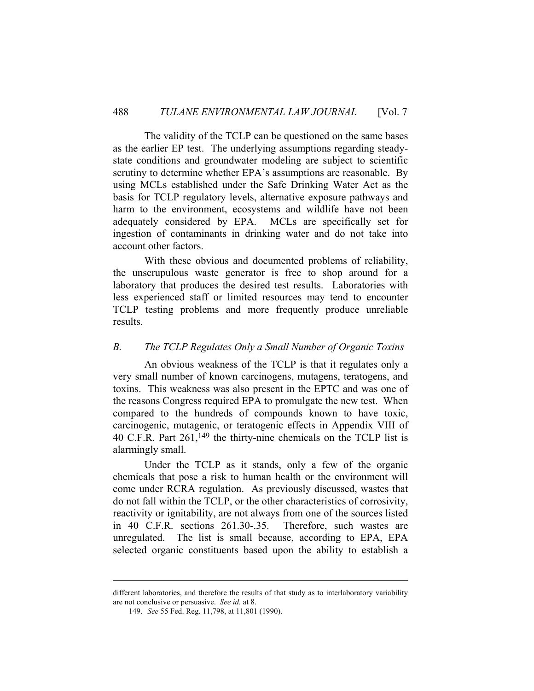The validity of the TCLP can be questioned on the same bases as the earlier EP test. The underlying assumptions regarding steadystate conditions and groundwater modeling are subject to scientific scrutiny to determine whether EPA's assumptions are reasonable. By using MCLs established under the Safe Drinking Water Act as the basis for TCLP regulatory levels, alternative exposure pathways and harm to the environment, ecosystems and wildlife have not been adequately considered by EPA. MCLs are specifically set for ingestion of contaminants in drinking water and do not take into account other factors.

 With these obvious and documented problems of reliability, the unscrupulous waste generator is free to shop around for a laboratory that produces the desired test results. Laboratories with less experienced staff or limited resources may tend to encounter TCLP testing problems and more frequently produce unreliable results.

## *B. The TCLP Regulates Only a Small Number of Organic Toxins*

 An obvious weakness of the TCLP is that it regulates only a very small number of known carcinogens, mutagens, teratogens, and toxins. This weakness was also present in the EPTC and was one of the reasons Congress required EPA to promulgate the new test. When compared to the hundreds of compounds known to have toxic, carcinogenic, mutagenic, or teratogenic effects in Appendix VIII of 40 C.F.R. Part 261,149 the thirty-nine chemicals on the TCLP list is alarmingly small.

 Under the TCLP as it stands, only a few of the organic chemicals that pose a risk to human health or the environment will come under RCRA regulation. As previously discussed, wastes that do not fall within the TCLP, or the other characteristics of corrosivity, reactivity or ignitability, are not always from one of the sources listed in 40 C.F.R. sections 261.30-.35. Therefore, such wastes are unregulated. The list is small because, according to EPA, EPA selected organic constituents based upon the ability to establish a

different laboratories, and therefore the results of that study as to interlaboratory variability are not conclusive or persuasive. *See id.* at 8.

 <sup>149.</sup> *See* 55 Fed. Reg. 11,798, at 11,801 (1990).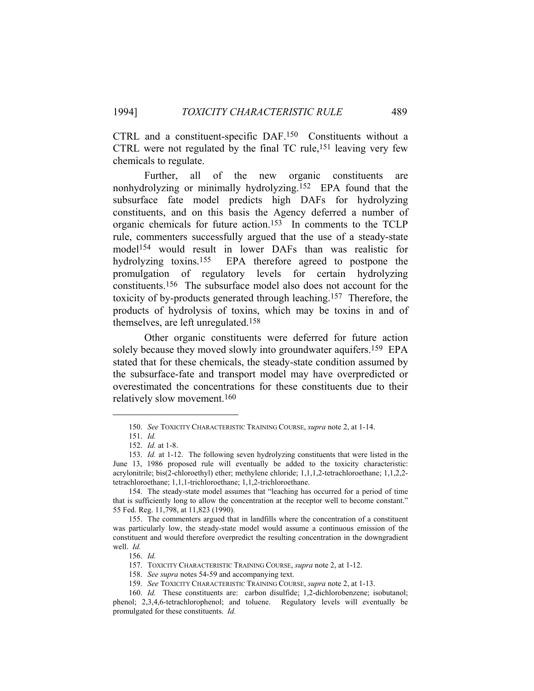CTRL and a constituent-specific DAF.150 Constituents without a CTRL were not regulated by the final TC rule,  $151$  leaving very few chemicals to regulate.

 Further, all of the new organic constituents are nonhydrolyzing or minimally hydrolyzing.152 EPA found that the subsurface fate model predicts high DAFs for hydrolyzing constituents, and on this basis the Agency deferred a number of organic chemicals for future action.153 In comments to the TCLP rule, commenters successfully argued that the use of a steady-state model154 would result in lower DAFs than was realistic for hydrolyzing toxins.<sup>155</sup> EPA therefore agreed to postpone the promulgation of regulatory levels for certain hydrolyzing constituents.156 The subsurface model also does not account for the toxicity of by-products generated through leaching.157 Therefore, the products of hydrolysis of toxins, which may be toxins in and of themselves, are left unregulated.158

 Other organic constituents were deferred for future action solely because they moved slowly into groundwater aquifers.<sup>159</sup> EPA stated that for these chemicals, the steady-state condition assumed by the subsurface-fate and transport model may have overpredicted or overestimated the concentrations for these constituents due to their relatively slow movement.160

 <sup>150.</sup> *See* TOXICITY CHARACTERISTIC TRAINING COURSE, *supra* note 2, at 1-14.

 <sup>151.</sup> *Id.* 

 <sup>152.</sup> *Id.* at 1-8.

 <sup>153.</sup> *Id.* at 1-12. The following seven hydrolyzing constituents that were listed in the June 13, 1986 proposed rule will eventually be added to the toxicity characteristic: acrylonitrile; bis(2-chloroethyl) ether; methylene chloride; 1,1,1,2-tetrachloroethane; 1,1,2,2 tetrachloroethane; 1,1,1-trichloroethane; 1,1,2-trichloroethane.

 <sup>154.</sup> The steady-state model assumes that "leaching has occurred for a period of time that is sufficiently long to allow the concentration at the receptor well to become constant." 55 Fed. Reg. 11,798, at 11,823 (1990).

 <sup>155.</sup> The commenters argued that in landfills where the concentration of a constituent was particularly low, the steady-state model would assume a continuous emission of the constituent and would therefore overpredict the resulting concentration in the downgradient well. *Id.*

 <sup>156.</sup> *Id.*

 <sup>157.</sup> TOXICITY CHARACTERISTIC TRAINING COURSE, *supra* note 2, at 1-12.

 <sup>158.</sup> *See supra* notes 54-59 and accompanying text.

 <sup>159.</sup> *See* TOXICITY CHARACTERISTIC TRAINING COURSE, *supra* note 2, at 1-13.

 <sup>160.</sup> *Id.* These constituents are: carbon disulfide; 1,2-dichlorobenzene; isobutanol; phenol; 2,3,4,6-tetrachlorophenol; and toluene. Regulatory levels will eventually be promulgated for these constituents. *Id.*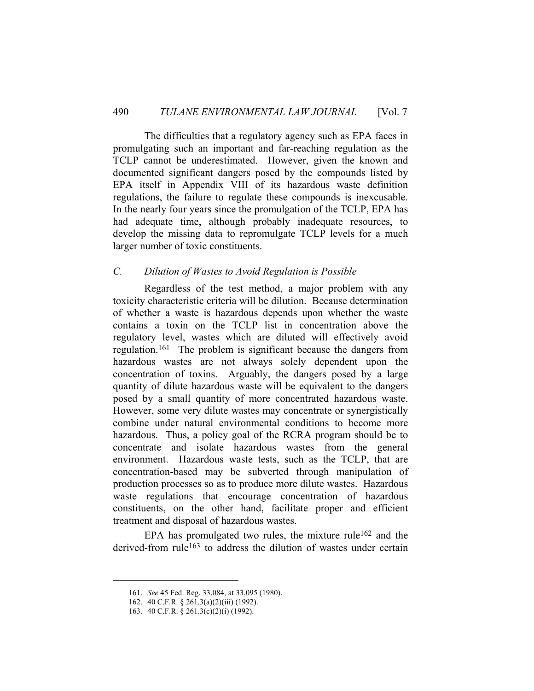The difficulties that a regulatory agency such as EPA faces in promulgating such an important and far-reaching regulation as the TCLP cannot be underestimated. However, given the known and documented significant dangers posed by the compounds listed by EPA itself in Appendix VIII of its hazardous waste definition regulations, the failure to regulate these compounds is inexcusable. In the nearly four years since the promulgation of the TCLP, EPA has had adequate time, although probably inadequate resources, to develop the missing data to repromulgate TCLP levels for a much larger number of toxic constituents.

## *C. Dilution of Wastes to Avoid Regulation is Possible*

 Regardless of the test method, a major problem with any toxicity characteristic criteria will be dilution. Because determination of whether a waste is hazardous depends upon whether the waste contains a toxin on the TCLP list in concentration above the regulatory level, wastes which are diluted will effectively avoid regulation.161 The problem is significant because the dangers from hazardous wastes are not always solely dependent upon the concentration of toxins. Arguably, the dangers posed by a large quantity of dilute hazardous waste will be equivalent to the dangers posed by a small quantity of more concentrated hazardous waste. However, some very dilute wastes may concentrate or synergistically combine under natural environmental conditions to become more hazardous. Thus, a policy goal of the RCRA program should be to concentrate and isolate hazardous wastes from the general environment. Hazardous waste tests, such as the TCLP, that are concentration-based may be subverted through manipulation of production processes so as to produce more dilute wastes. Hazardous waste regulations that encourage concentration of hazardous constituents, on the other hand, facilitate proper and efficient treatment and disposal of hazardous wastes.

EPA has promulgated two rules, the mixture rule<sup>162</sup> and the derived-from rule<sup>163</sup> to address the dilution of wastes under certain

 <sup>161.</sup> *See* 45 Fed. Reg. 33,084, at 33,095 (1980).

 <sup>162. 40</sup> C.F.R. § 261.3(a)(2)(iii) (1992).

 <sup>163. 40</sup> C.F.R. § 261.3(c)(2)(i) (1992).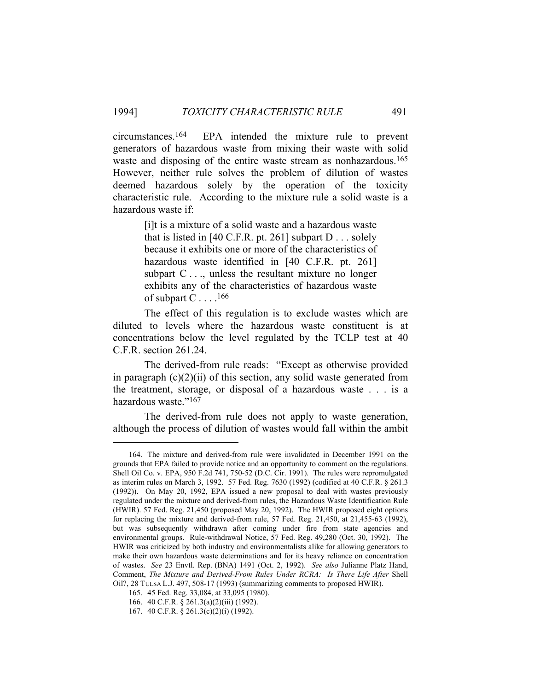circumstances.164 EPA intended the mixture rule to prevent generators of hazardous waste from mixing their waste with solid waste and disposing of the entire waste stream as nonhazardous.<sup>165</sup> However, neither rule solves the problem of dilution of wastes deemed hazardous solely by the operation of the toxicity characteristic rule. According to the mixture rule a solid waste is a hazardous waste if:

> [i]t is a mixture of a solid waste and a hazardous waste that is listed in [40 C.F.R. pt. 261] subpart  $D \ldots$  solely because it exhibits one or more of the characteristics of hazardous waste identified in [40 C.F.R. pt. 261] subpart  $C \ldots$ , unless the resultant mixture no longer exhibits any of the characteristics of hazardous waste of subpart C . . . .<sup>166</sup>

 The effect of this regulation is to exclude wastes which are diluted to levels where the hazardous waste constituent is at concentrations below the level regulated by the TCLP test at 40 C.F.R. section 261.24.

 The derived-from rule reads: "Except as otherwise provided in paragraph  $(c)(2)(ii)$  of this section, any solid waste generated from the treatment, storage, or disposal of a hazardous waste . . . is a hazardous waste."167

 The derived-from rule does not apply to waste generation, although the process of dilution of wastes would fall within the ambit

 <sup>164.</sup> The mixture and derived-from rule were invalidated in December 1991 on the grounds that EPA failed to provide notice and an opportunity to comment on the regulations. Shell Oil Co. v. EPA, 950 F.2d 741, 750-52 (D.C. Cir. 1991). The rules were repromulgated as interim rules on March 3, 1992. 57 Fed. Reg. 7630 (1992) (codified at 40 C.F.R. § 261.3 (1992)). On May 20, 1992, EPA issued a new proposal to deal with wastes previously regulated under the mixture and derived-from rules, the Hazardous Waste Identification Rule (HWIR). 57 Fed. Reg. 21,450 (proposed May 20, 1992). The HWIR proposed eight options for replacing the mixture and derived-from rule, 57 Fed. Reg. 21,450, at 21,455-63 (1992), but was subsequently withdrawn after coming under fire from state agencies and environmental groups. Rule-withdrawal Notice, 57 Fed. Reg. 49,280 (Oct. 30, 1992). The HWIR was criticized by both industry and environmentalists alike for allowing generators to make their own hazardous waste determinations and for its heavy reliance on concentration of wastes. *See* 23 Envtl. Rep. (BNA) 1491 (Oct. 2, 1992). *See also* Julianne Platz Hand, Comment, *The Mixture and Derived-From Rules Under RCRA: Is There Life After Shell* Oil?, 28 TULSA L.J. 497, 508-17 (1993) (summarizing comments to proposed HWIR).

 <sup>165. 45</sup> Fed. Reg. 33,084, at 33,095 (1980).

 <sup>166. 40</sup> C.F.R. § 261.3(a)(2)(iii) (1992).

 <sup>167. 40</sup> C.F.R. § 261.3(c)(2)(i) (1992).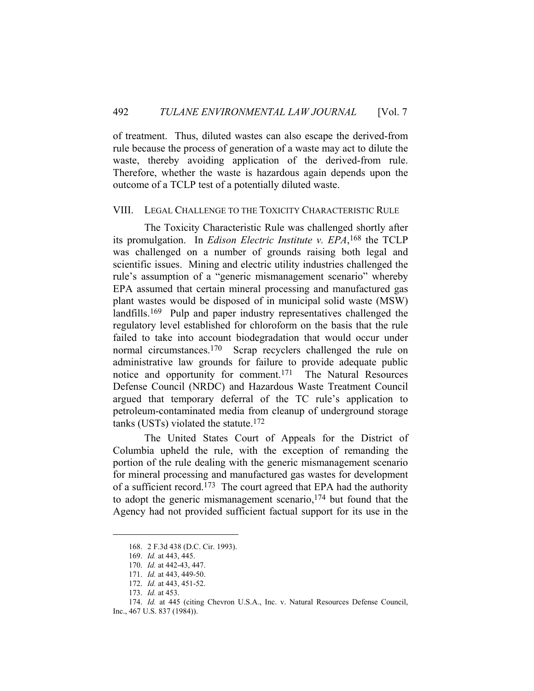of treatment. Thus, diluted wastes can also escape the derived-from rule because the process of generation of a waste may act to dilute the waste, thereby avoiding application of the derived-from rule. Therefore, whether the waste is hazardous again depends upon the outcome of a TCLP test of a potentially diluted waste.

#### VIII. LEGAL CHALLENGE TO THE TOXICITY CHARACTERISTIC RULE

 The Toxicity Characteristic Rule was challenged shortly after its promulgation. In *Edison Electric Institute v. EPA*, 168 the TCLP was challenged on a number of grounds raising both legal and scientific issues. Mining and electric utility industries challenged the rule's assumption of a "generic mismanagement scenario" whereby EPA assumed that certain mineral processing and manufactured gas plant wastes would be disposed of in municipal solid waste (MSW) landfills.169 Pulp and paper industry representatives challenged the regulatory level established for chloroform on the basis that the rule failed to take into account biodegradation that would occur under normal circumstances.<sup>170</sup> Scrap recyclers challenged the rule on administrative law grounds for failure to provide adequate public notice and opportunity for comment.171 The Natural Resources Defense Council (NRDC) and Hazardous Waste Treatment Council argued that temporary deferral of the TC rule's application to petroleum-contaminated media from cleanup of underground storage tanks (USTs) violated the statute.172

 The United States Court of Appeals for the District of Columbia upheld the rule, with the exception of remanding the portion of the rule dealing with the generic mismanagement scenario for mineral processing and manufactured gas wastes for development of a sufficient record.173 The court agreed that EPA had the authority to adopt the generic mismanagement scenario,174 but found that the Agency had not provided sufficient factual support for its use in the

 <sup>168. 2</sup> F.3d 438 (D.C. Cir. 1993).

 <sup>169.</sup> *Id.* at 443, 445.

 <sup>170.</sup> *Id.* at 442-43, 447.

 <sup>171.</sup> *Id.* at 443, 449-50.

 <sup>172.</sup> *Id.* at 443, 451-52.

 <sup>173.</sup> *Id.* at 453.

 <sup>174.</sup> *Id.* at 445 (citing Chevron U.S.A., Inc. v. Natural Resources Defense Council,

Inc., 467 U.S. 837 (1984)).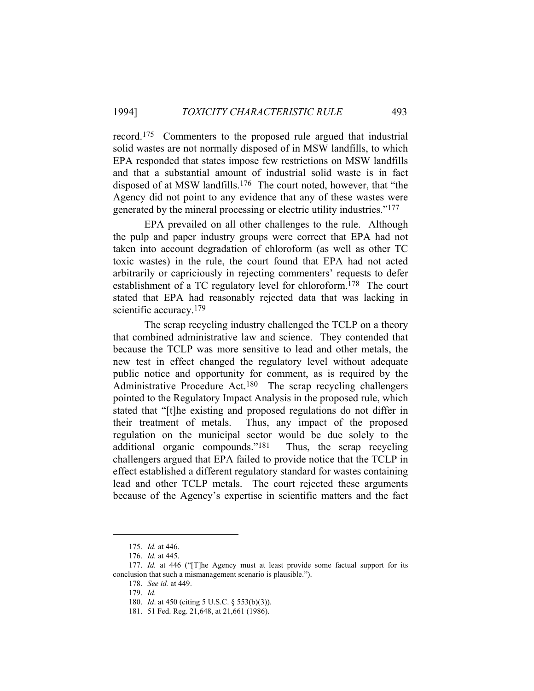record.175 Commenters to the proposed rule argued that industrial solid wastes are not normally disposed of in MSW landfills, to which EPA responded that states impose few restrictions on MSW landfills and that a substantial amount of industrial solid waste is in fact disposed of at MSW landfills.176 The court noted, however, that "the Agency did not point to any evidence that any of these wastes were generated by the mineral processing or electric utility industries."177

 EPA prevailed on all other challenges to the rule. Although the pulp and paper industry groups were correct that EPA had not taken into account degradation of chloroform (as well as other TC toxic wastes) in the rule, the court found that EPA had not acted arbitrarily or capriciously in rejecting commenters' requests to defer establishment of a TC regulatory level for chloroform.178 The court stated that EPA had reasonably rejected data that was lacking in scientific accuracy.<sup>179</sup>

 The scrap recycling industry challenged the TCLP on a theory that combined administrative law and science. They contended that because the TCLP was more sensitive to lead and other metals, the new test in effect changed the regulatory level without adequate public notice and opportunity for comment, as is required by the Administrative Procedure Act.180 The scrap recycling challengers pointed to the Regulatory Impact Analysis in the proposed rule, which stated that "[t]he existing and proposed regulations do not differ in their treatment of metals. Thus, any impact of the proposed regulation on the municipal sector would be due solely to the additional organic compounds."181 Thus, the scrap recycling challengers argued that EPA failed to provide notice that the TCLP in effect established a different regulatory standard for wastes containing lead and other TCLP metals. The court rejected these arguments because of the Agency's expertise in scientific matters and the fact

 <sup>175.</sup> *Id.* at 446.

 <sup>176.</sup> *Id.* at 445.

 <sup>177.</sup> *Id.* at 446 ("[T]he Agency must at least provide some factual support for its conclusion that such a mismanagement scenario is plausible.").

 <sup>178.</sup> *See id.* at 449.

 <sup>179.</sup> *Id.* 

 <sup>180.</sup> *Id*. at 450 (citing 5 U.S.C. § 553(b)(3)).

 <sup>181. 51</sup> Fed. Reg. 21,648, at 21,661 (1986).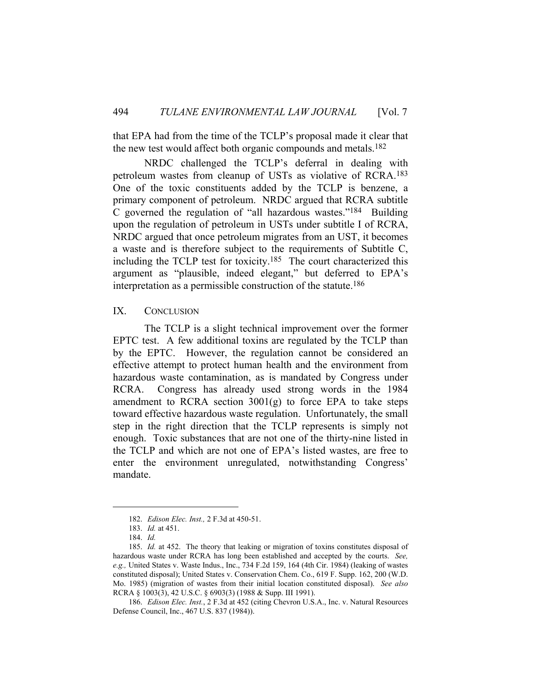that EPA had from the time of the TCLP's proposal made it clear that the new test would affect both organic compounds and metals.182

 NRDC challenged the TCLP's deferral in dealing with petroleum wastes from cleanup of USTs as violative of RCRA.183 One of the toxic constituents added by the TCLP is benzene, a primary component of petroleum. NRDC argued that RCRA subtitle C governed the regulation of "all hazardous wastes."184 Building upon the regulation of petroleum in USTs under subtitle I of RCRA, NRDC argued that once petroleum migrates from an UST, it becomes a waste and is therefore subject to the requirements of Subtitle C, including the TCLP test for toxicity.185 The court characterized this argument as "plausible, indeed elegant," but deferred to EPA's interpretation as a permissible construction of the statute.186

#### IX. CONCLUSION

 The TCLP is a slight technical improvement over the former EPTC test. A few additional toxins are regulated by the TCLP than by the EPTC. However, the regulation cannot be considered an effective attempt to protect human health and the environment from hazardous waste contamination, as is mandated by Congress under RCRA. Congress has already used strong words in the 1984 amendment to RCRA section  $3001(g)$  to force EPA to take steps toward effective hazardous waste regulation. Unfortunately, the small step in the right direction that the TCLP represents is simply not enough. Toxic substances that are not one of the thirty-nine listed in the TCLP and which are not one of EPA's listed wastes, are free to enter the environment unregulated, notwithstanding Congress' mandate.

 <sup>182.</sup> *Edison Elec. Inst.,* 2 F.3d at 450-51.

 <sup>183.</sup> *Id.* at 451.

 <sup>184.</sup> *Id.*

 <sup>185.</sup> *Id.* at 452. The theory that leaking or migration of toxins constitutes disposal of hazardous waste under RCRA has long been established and accepted by the courts. *See, e.g.,* United States v. Waste Indus., Inc., 734 F.2d 159, 164 (4th Cir. 1984) (leaking of wastes constituted disposal); United States v. Conservation Chem. Co., 619 F. Supp. 162, 200 (W.D. Mo. 1985) (migration of wastes from their initial location constituted disposal). *See also* RCRA § 1003(3), 42 U.S.C. § 6903(3) (1988 & Supp. III 1991).

 <sup>186.</sup> *Edison Elec. Inst.*, 2 F.3d at 452 (citing Chevron U.S.A., Inc. v. Natural Resources Defense Council, Inc., 467 U.S. 837 (1984)).